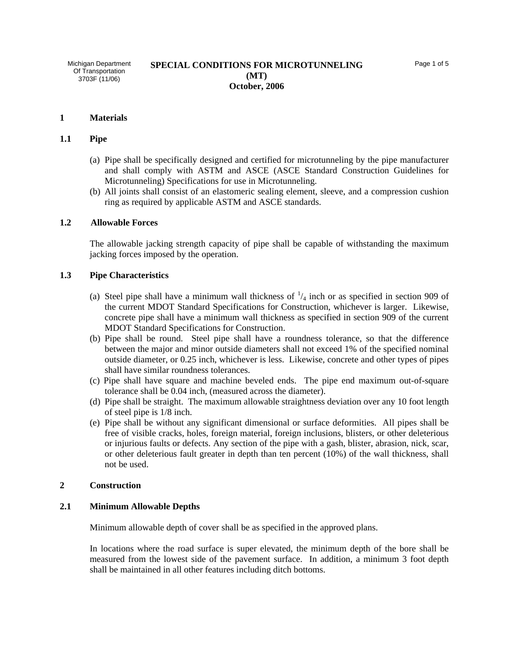Michigan Department Of Transportation 3703F (11/06)

#### **1 Materials**

## **1.1 Pipe**

- (a) Pipe shall be specifically designed and certified for microtunneling by the pipe manufacturer and shall comply with ASTM and ASCE (ASCE Standard Construction Guidelines for Microtunneling) Specifications for use in Microtunneling.
- (b) All joints shall consist of an elastomeric sealing element, sleeve, and a compression cushion ring as required by applicable ASTM and ASCE standards.

#### **1.2 Allowable Forces**

The allowable jacking strength capacity of pipe shall be capable of withstanding the maximum jacking forces imposed by the operation.

## **1.3 Pipe Characteristics**

- (a) Steel pipe shall have a minimum wall thickness of  $\frac{1}{4}$  inch or as specified in section 909 of the current MDOT Standard Specifications for Construction, whichever is larger. Likewise, concrete pipe shall have a minimum wall thickness as specified in section 909 of the current MDOT Standard Specifications for Construction.
- (b) Pipe shall be round. Steel pipe shall have a roundness tolerance, so that the difference between the major and minor outside diameters shall not exceed 1% of the specified nominal outside diameter, or 0.25 inch, whichever is less. Likewise, concrete and other types of pipes shall have similar roundness tolerances.
- (c) Pipe shall have square and machine beveled ends. The pipe end maximum out-of-square tolerance shall be 0.04 inch, (measured across the diameter).
- (d) Pipe shall be straight. The maximum allowable straightness deviation over any 10 foot length of steel pipe is 1/8 inch.
- (e) Pipe shall be without any significant dimensional or surface deformities. All pipes shall be free of visible cracks, holes, foreign material, foreign inclusions, blisters, or other deleterious or injurious faults or defects. Any section of the pipe with a gash, blister, abrasion, nick, scar, or other deleterious fault greater in depth than ten percent (10%) of the wall thickness, shall not be used.

#### **2 Construction**

#### **2.1 Minimum Allowable Depths**

Minimum allowable depth of cover shall be as specified in the approved plans.

In locations where the road surface is super elevated, the minimum depth of the bore shall be measured from the lowest side of the pavement surface. In addition, a minimum 3 foot depth shall be maintained in all other features including ditch bottoms.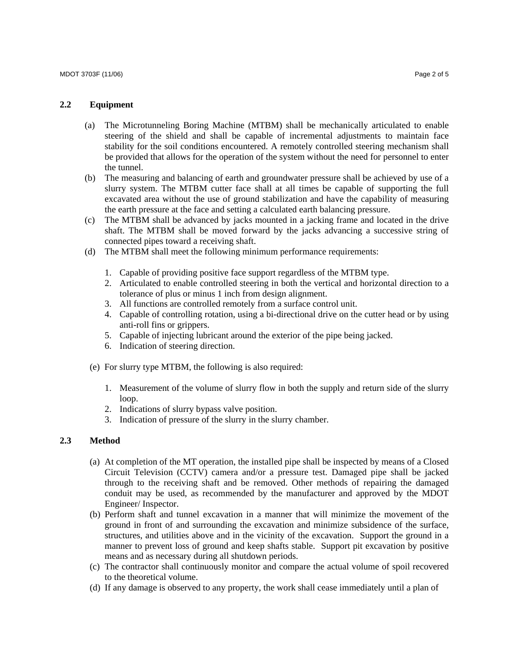## **2.2 Equipment**

- (a) The Microtunneling Boring Machine (MTBM) shall be mechanically articulated to enable steering of the shield and shall be capable of incremental adjustments to maintain face stability for the soil conditions encountered. A remotely controlled steering mechanism shall be provided that allows for the operation of the system without the need for personnel to enter the tunnel.
- (b) The measuring and balancing of earth and groundwater pressure shall be achieved by use of a slurry system. The MTBM cutter face shall at all times be capable of supporting the full excavated area without the use of ground stabilization and have the capability of measuring the earth pressure at the face and setting a calculated earth balancing pressure.
- (c) The MTBM shall be advanced by jacks mounted in a jacking frame and located in the drive shaft. The MTBM shall be moved forward by the jacks advancing a successive string of connected pipes toward a receiving shaft.
- (d) The MTBM shall meet the following minimum performance requirements:
	- 1. Capable of providing positive face support regardless of the MTBM type.
	- 2. Articulated to enable controlled steering in both the vertical and horizontal direction to a tolerance of plus or minus 1 inch from design alignment.
	- 3. All functions are controlled remotely from a surface control unit.
	- 4. Capable of controlling rotation, using a bi-directional drive on the cutter head or by using anti-roll fins or grippers.
	- 5. Capable of injecting lubricant around the exterior of the pipe being jacked.
	- 6. Indication of steering direction.
- (e) For slurry type MTBM, the following is also required:
	- 1. Measurement of the volume of slurry flow in both the supply and return side of the slurry loop.
	- 2. Indications of slurry bypass valve position.
	- 3. Indication of pressure of the slurry in the slurry chamber.

# **2.3 Method**

- (a) At completion of the MT operation, the installed pipe shall be inspected by means of a Closed Circuit Television (CCTV) camera and/or a pressure test. Damaged pipe shall be jacked through to the receiving shaft and be removed. Other methods of repairing the damaged conduit may be used, as recommended by the manufacturer and approved by the MDOT Engineer/ Inspector.
- (b) Perform shaft and tunnel excavation in a manner that will minimize the movement of the ground in front of and surrounding the excavation and minimize subsidence of the surface, structures, and utilities above and in the vicinity of the excavation. Support the ground in a manner to prevent loss of ground and keep shafts stable. Support pit excavation by positive means and as necessary during all shutdown periods.
- (c) The contractor shall continuously monitor and compare the actual volume of spoil recovered to the theoretical volume.
- (d) If any damage is observed to any property, the work shall cease immediately until a plan of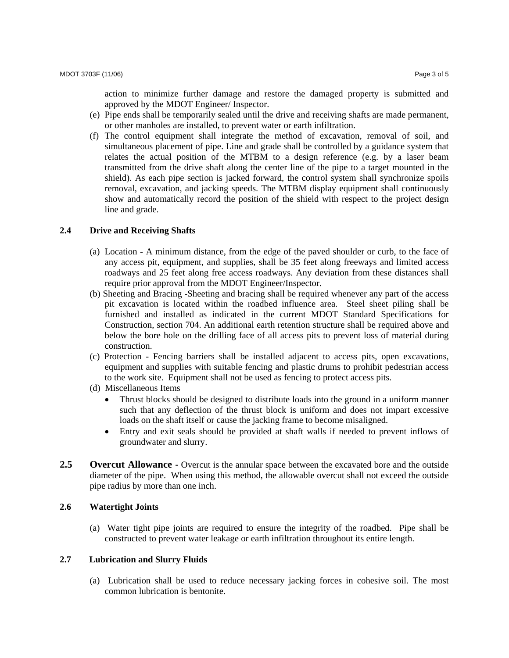action to minimize further damage and restore the damaged property is submitted and approved by the MDOT Engineer/ Inspector.

- (e) Pipe ends shall be temporarily sealed until the drive and receiving shafts are made permanent, or other manholes are installed, to prevent water or earth infiltration.
- (f) The control equipment shall integrate the method of excavation, removal of soil, and simultaneous placement of pipe. Line and grade shall be controlled by a guidance system that relates the actual position of the MTBM to a design reference (e.g. by a laser beam transmitted from the drive shaft along the center line of the pipe to a target mounted in the shield). As each pipe section is jacked forward, the control system shall synchronize spoils removal, excavation, and jacking speeds. The MTBM display equipment shall continuously show and automatically record the position of the shield with respect to the project design line and grade.

### **2.4 Drive and Receiving Shafts**

- (a) Location A minimum distance, from the edge of the paved shoulder or curb, to the face of any access pit, equipment, and supplies, shall be 35 feet along freeways and limited access roadways and 25 feet along free access roadways. Any deviation from these distances shall require prior approval from the MDOT Engineer/Inspector.
- (b) Sheeting and Bracing -Sheeting and bracing shall be required whenever any part of the access pit excavation is located within the roadbed influence area. Steel sheet piling shall be furnished and installed as indicated in the current MDOT Standard Specifications for Construction, section 704. An additional earth retention structure shall be required above and below the bore hole on the drilling face of all access pits to prevent loss of material during construction.
- (c) Protection Fencing barriers shall be installed adjacent to access pits, open excavations, equipment and supplies with suitable fencing and plastic drums to prohibit pedestrian access to the work site. Equipment shall not be used as fencing to protect access pits.
- (d) Miscellaneous Items
	- Thrust blocks should be designed to distribute loads into the ground in a uniform manner such that any deflection of the thrust block is uniform and does not impart excessive loads on the shaft itself or cause the jacking frame to become misaligned.
	- Entry and exit seals should be provided at shaft walls if needed to prevent inflows of groundwater and slurry.
- **2.5 Overcut Allowance -** Overcut is the annular space between the excavated bore and the outside diameter of the pipe. When using this method, the allowable overcut shall not exceed the outside pipe radius by more than one inch.

# **2.6 Watertight Joints**

(a) Water tight pipe joints are required to ensure the integrity of the roadbed. Pipe shall be constructed to prevent water leakage or earth infiltration throughout its entire length.

### **2.7 Lubrication and Slurry Fluids**

(a) Lubrication shall be used to reduce necessary jacking forces in cohesive soil. The most common lubrication is bentonite.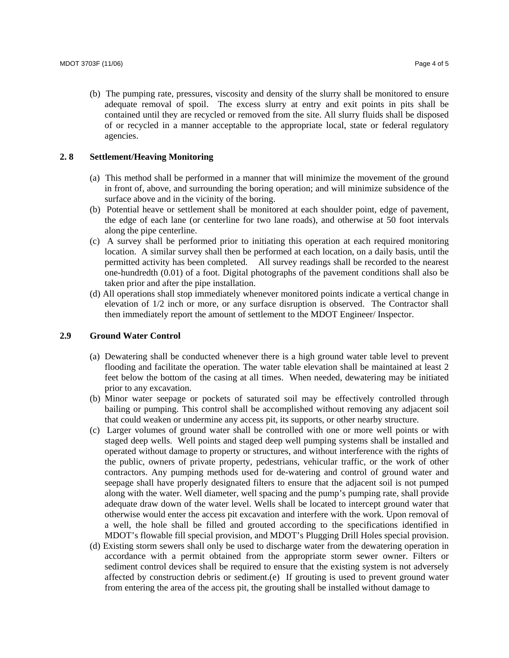(b) The pumping rate, pressures, viscosity and density of the slurry shall be monitored to ensure adequate removal of spoil. The excess slurry at entry and exit points in pits shall be contained until they are recycled or removed from the site. All slurry fluids shall be disposed of or recycled in a manner acceptable to the appropriate local, state or federal regulatory agencies.

# **2. 8 Settlement/Heaving Monitoring**

- (a) This method shall be performed in a manner that will minimize the movement of the ground in front of, above, and surrounding the boring operation; and will minimize subsidence of the surface above and in the vicinity of the boring.
- (b) Potential heave or settlement shall be monitored at each shoulder point, edge of pavement, the edge of each lane (or centerline for two lane roads), and otherwise at 50 foot intervals along the pipe centerline.
- (c) A survey shall be performed prior to initiating this operation at each required monitoring location. A similar survey shall then be performed at each location, on a daily basis, until the permitted activity has been completed. All survey readings shall be recorded to the nearest one-hundredth (0.01) of a foot. Digital photographs of the pavement conditions shall also be taken prior and after the pipe installation.
- (d) All operations shall stop immediately whenever monitored points indicate a vertical change in elevation of 1/2 inch or more, or any surface disruption is observed. The Contractor shall then immediately report the amount of settlement to the MDOT Engineer/ Inspector.

### **2.9 Ground Water Control**

- (a) Dewatering shall be conducted whenever there is a high ground water table level to prevent flooding and facilitate the operation. The water table elevation shall be maintained at least 2 feet below the bottom of the casing at all times. When needed, dewatering may be initiated prior to any excavation.
- (b) Minor water seepage or pockets of saturated soil may be effectively controlled through bailing or pumping. This control shall be accomplished without removing any adjacent soil that could weaken or undermine any access pit, its supports, or other nearby structure.
- (c) Larger volumes of ground water shall be controlled with one or more well points or with staged deep wells. Well points and staged deep well pumping systems shall be installed and operated without damage to property or structures, and without interference with the rights of the public, owners of private property, pedestrians, vehicular traffic, or the work of other contractors. Any pumping methods used for de-watering and control of ground water and seepage shall have properly designated filters to ensure that the adjacent soil is not pumped along with the water. Well diameter, well spacing and the pump's pumping rate, shall provide adequate draw down of the water level. Wells shall be located to intercept ground water that otherwise would enter the access pit excavation and interfere with the work. Upon removal of a well, the hole shall be filled and grouted according to the specifications identified in MDOT's flowable fill special provision, and MDOT's Plugging Drill Holes special provision.
- (d) Existing storm sewers shall only be used to discharge water from the dewatering operation in accordance with a permit obtained from the appropriate storm sewer owner. Filters or sediment control devices shall be required to ensure that the existing system is not adversely affected by construction debris or sediment.(e) If grouting is used to prevent ground water from entering the area of the access pit, the grouting shall be installed without damage to